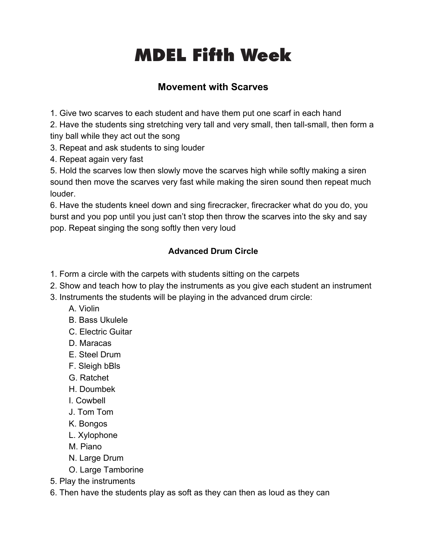## **Fifth Head Start Week** MDEL Fifth Week

## **Movement with Scarves**

1. Give two scarves to each student and have them put one scarf in each hand

2. Have the students sing stretching very tall and very small, then tall-small, then form a tiny ball while they act out the song

3. Repeat and ask students to sing louder

4. Repeat again very fast

5. Hold the scarves low then slowly move the scarves high while softly making a siren sound then move the scarves very fast while making the siren sound then repeat much louder.

6. Have the students kneel down and sing firecracker, firecracker what do you do, you burst and you pop until you just can't stop then throw the scarves into the sky and say pop. Repeat singing the song softly then very loud

## **Advanced Drum Circle**

- 1. Form a circle with the carpets with students sitting on the carpets
- 2. Show and teach how to play the instruments as you give each student an instrument
- 3. Instruments the students will be playing in the advanced drum circle:
	- A. Violin
	- B. Bass Ukulele
	- C. Electric Guitar
	- D. Maracas
	- E. Steel Drum
	- F. Sleigh bBls
	- G. Ratchet
	- H. Doumbek
	- I. Cowbell
	- J. Tom Tom
	- K. Bongos
	- L. Xylophone
	- M. Piano
	- N. Large Drum
	- O. Large Tamborine
- 5. Play the instruments
- 6. Then have the students play as soft as they can then as loud as they can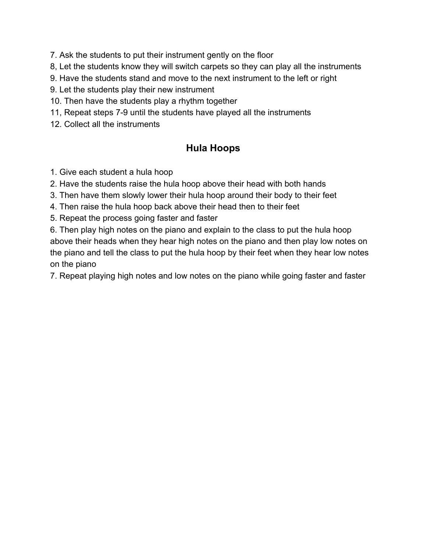7. Ask the students to put their instrument gently on the floor

8, Let the students know they will switch carpets so they can play all the instruments

- 9. Have the students stand and move to the next instrument to the left or right
- 9. Let the students play their new instrument
- 10. Then have the students play a rhythm together
- 11, Repeat steps 7-9 until the students have played all the instruments
- 12. Collect all the instruments

## **Hula Hoops**

- 1. Give each student a hula hoop
- 2. Have the students raise the hula hoop above their head with both hands
- 3. Then have them slowly lower their hula hoop around their body to their feet
- 4. Then raise the hula hoop back above their head then to their feet
- 5. Repeat the process going faster and faster

6. Then play high notes on the piano and explain to the class to put the hula hoop above their heads when they hear high notes on the piano and then play low notes on the piano and tell the class to put the hula hoop by their feet when they hear low notes on the piano

7. Repeat playing high notes and low notes on the piano while going faster and faster